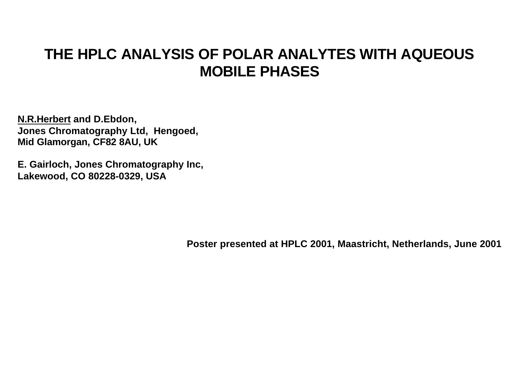# **THE HPLC ANALYSIS OF POLAR ANALYTES WITH AQUEOUS MOBILE PHASES**

**N.R.Herbert and D.Ebdon, Jones Chromatography Ltd, Hengoed, Mid Glamorgan, CF82 8AU, UK**

**E. Gairloch, Jones Chromatography Inc, Lakewood, CO 80228-0329, USA**

**Poster presented at HPLC 2001, Maastricht, Netherlands, June 2001**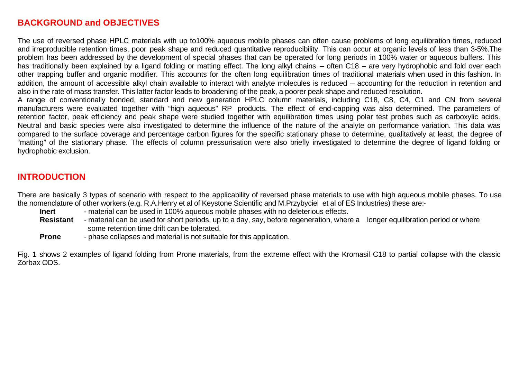### **BACKGROUND and OBJECTIVES**

The use of reversed phase HPLC materials with up to100% aqueous mobile phases can often cause problems of long equilibration times, reduced and irreproducible retention times, poor peak shape and reduced quantitative reproducibility. This can occur at organic levels of less than 3-5%.The problem has been addressed by the development of special phases that can be operated for long periods in 100% water or aqueous buffers. This has traditionally been explained by a ligand folding or matting effect. The long alkyl chains – often C18 – are very hydrophobic and fold over each other trapping buffer and organic modifier. This accounts for the often long equilibration times of traditional materials when used in this fashion. In addition, the amount of accessible alkyl chain available to interact with analyte molecules is reduced – accounting for the reduction in retention and also in the rate of mass transfer. This latter factor leads to broadening of the peak, a poorer peak shape and reduced resolution.

A range of conventionally bonded, standard and new generation HPLC column materials, including C18, C8, C4, C1 and CN from several manufacturers were evaluated together with "high aqueous" RP products. The effect of end-capping was also determined. The parameters of retention factor, peak efficiency and peak shape were studied together with equilibration times using polar test probes such as carboxylic acids. Neutral and basic species were also investigated to determine the influence of the nature of the analyte on performance variation. This data was compared to the surface coverage and percentage carbon figures for the specific stationary phase to determine, qualitatively at least, the degree of "matting" of the stationary phase. The effects of column pressurisation were also briefly investigated to determine the degree of ligand folding or hydrophobic exclusion.

### **INTRODUCTION**

There are basically 3 types of scenario with respect to the applicability of reversed phase materials to use with high aqueous mobile phases. To use the nomenclature of other workers (e.g. R.A.Henry et al of Keystone Scientific and M.Przybyciel et al of ES Industries) these are:-

- **Inert** material can be used in 100% aqueous mobile phases with no deleterious effects.
- **Resistant** material can be used for short periods, up to a day, say, before regeneration, where a longer equilibration period or where some retention time drift can be tolerated.

**Prone** - phase collapses and material is not suitable for this application.

Fig. 1 shows 2 examples of ligand folding from Prone materials, from the extreme effect with the Kromasil C18 to partial collapse with the classic Zorbax ODS.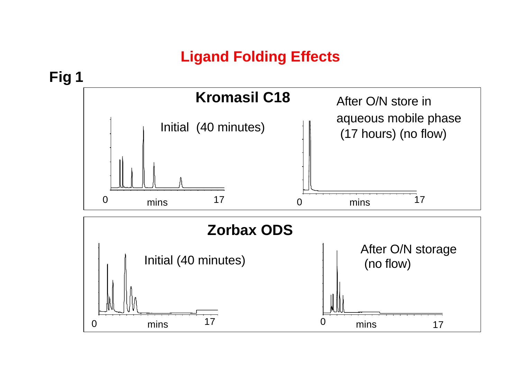# **Ligand Folding Effects**

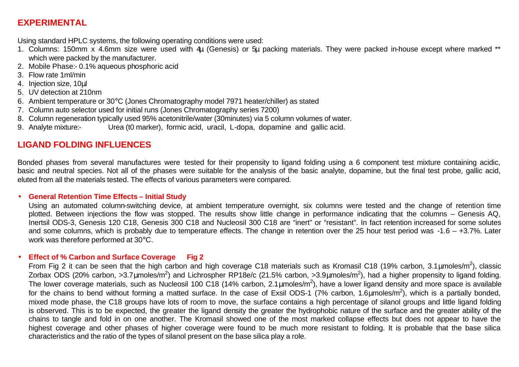# **EXPERIMENTAL**

Using standard HPLC systems, the following operating conditions were used:

- 1. Columns: 150mm x 4.6mm size were used with 4μ (Genesis) or 5μ packing materials. They were packed in-house except where marked \*\* which were packed by the manufacturer.
- 2. Mobile Phase:- 0.1% aqueous phosphoric acid
- 3. Flow rate 1ml/min
- 4. Injection size, 10μl
- 5. UV detection at 210nm
- 6. Ambient temperature or 30°C (Jones Chromatography model 7971 heater/chiller) as stated
- 7. Column auto selector used for initial runs (Jones Chromatography series 7200)
- 8. Column regeneration typically used 95% acetonitrile/water (30minutes) via 5 column volumes of water.
- 9. Analyte mixture:- Urea (t0 marker), formic acid, uracil, L-dopa, dopamine and gallic acid.

### **LIGAND FOLDING INFLUENCES**

Bonded phases from several manufactures were tested for their propensity to ligand folding using a 6 component test mixture containing acidic, basic and neutral species. Not all of the phases were suitable for the analysis of the basic analyte, dopamine, but the final test probe, gallic acid, eluted from all the materials tested. The effects of various parameters were compared.

#### • **General Retention Time Effects – Initial Study**

Using an automated column-switching device, at ambient temperature overnight, six columns were tested and the change of retention time plotted. Between injections the flow was stopped. The results show little change in performance indicating that the columns – Genesis AQ, Inertsil ODS-3, Genesis 120 C18, Genesis 300 C18 and Nucleosil 300 C18 are "inert" or "resistant". In fact retention increased for some solutes and some columns, which is probably due to temperature effects. The change in retention over the 25 hour test period was -1.6 – +3.7%. Later work was therefore performed at 30°C.

### • **Effect of % Carbon and Surface Coverage Fig 2**

From Fig 2 it can be seen that the high carbon and high coverage C18 materials such as Kromasil C18 (19% carbon, 3.1 µmoles/m<sup>2</sup>), classic Zorbax ODS (20% carbon, >3.7μmoles/m<sup>2</sup>) and Lichrospher RP18e/c (21.5% carbon, >3.9μmoles/m<sup>2</sup>), had a higher propensity to ligand folding. The lower coverage materials, such as Nucleosil 100 C18 (14% carbon, 2.1 µmoles/m<sup>2</sup>), have a lower ligand density and more space is available for the chains to bend without forming a matted surface. In the case of Exsil ODS-1 (7% carbon, 1.6µmoles/m<sup>2</sup>), which is a partially bonded, mixed mode phase, the C18 groups have lots of room to move, the surface contains a high percentage of silanol groups and little ligand folding is observed. This is to be expected, the greater the ligand density the greater the hydrophobic nature of the surface and the greater ability of the chains to tangle and fold in on one another. The Kromasil showed one of the most marked collapse effects but does not appear to have the highest coverage and other phases of higher coverage were found to be much more resistant to folding. It is probable that the base silica characteristics and the ratio of the types of silanol present on the base silica play a role.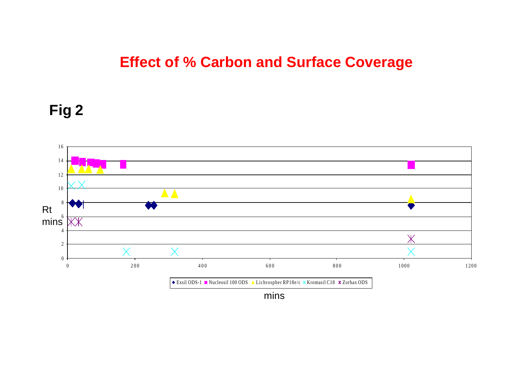# **Effect of % Carbon and Surface Coverage**

# **Fig 2**

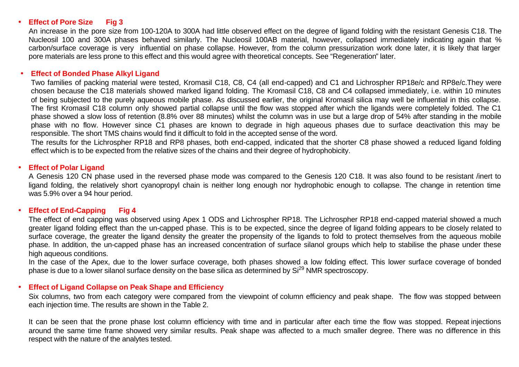#### • **Effect of Pore Size Fig 3**

An increase in the pore size from 100-120A to 300A had little observed effect on the degree of ligand folding with the resistant Genesis C18. The Nucleosil 100 and 300A phases behaved similarly. The Nucleosil 100AB material, however, collapsed immediately indicating again that % carbon/surface coverage is very influential on phase collapse. However, from the column pressurization work done later, it is likely that larger pore materials are less prone to this effect and this would agree with theoretical concepts. See "Regeneration" later.

#### • **Effect of Bonded Phase Alkyl Ligand**

Two families of packing material were tested, Kromasil C18, C8, C4 (all end-capped) and C1 and Lichrospher RP18e/c and RP8e/c.They were chosen because the C18 materials showed marked ligand folding. The Kromasil C18, C8 and C4 collapsed immediately, i.e. within 10 minutes of being subjected to the purely aqueous mobile phase. As discussed earlier, the original Kromasil silica may well be influential in this collapse. The first Kromasil C18 column only showed partial collapse until the flow was stopped after which the ligands were completely folded. The C1 phase showed a slow loss of retention (8.8% over 88 minutes) whilst the column was in use but a large drop of 54% after standing in the mobile phase with no flow. However since C1 phases are known to degrade in high aqueous phases due to surface deactivation this may be responsible. The short TMS chains would find it difficult to fold in the accepted sense of the word.

The results for the Lichrospher RP18 and RP8 phases, both end-capped, indicated that the shorter C8 phase showed a reduced ligand folding effect which is to be expected from the relative sizes of the chains and their degree of hydrophobicity.

#### • **Effect of Polar Ligand**

A Genesis 120 CN phase used in the reversed phase mode was compared to the Genesis 120 C18. It was also found to be resistant /inert to ligand folding, the relatively short cyanopropyl chain is neither long enough nor hydrophobic enough to collapse. The change in retention time was 5.9% over a 94 hour period.

#### • **Effect of End-Capping Fig 4**

The effect of end capping was observed using Apex 1 ODS and Lichrospher RP18. The Lichrospher RP18 end-capped material showed a much greater ligand folding effect than the un-capped phase. This is to be expected, since the degree of ligand folding appears to be closely related to surface coverage, the greater the ligand density the greater the propensity of the ligands to fold to protect themselves from the aqueous mobile phase. In addition, the un-capped phase has an increased concentration of surface silanol groups which help to stabilise the phase under these high aqueous conditions.

In the case of the Apex, due to the lower surface coverage, both phases showed a low folding effect. This lower surface coverage of bonded phase is due to a lower silanol surface density on the base silica as determined by  $Si^{29}$  NMR spectroscopy.

#### • **Effect of Ligand Collapse on Peak Shape and Efficiency**

Six columns, two from each category were compared from the viewpoint of column efficiency and peak shape. The flow was stopped between each injection time. The results are shown in the Table 2.

It can be seen that the prone phase lost column efficiency with time and in particular after each time the flow was stopped. Repeat injections around the same time frame showed very similar results. Peak shape was affected to a much smaller degree. There was no difference in this respect with the nature of the analytes tested.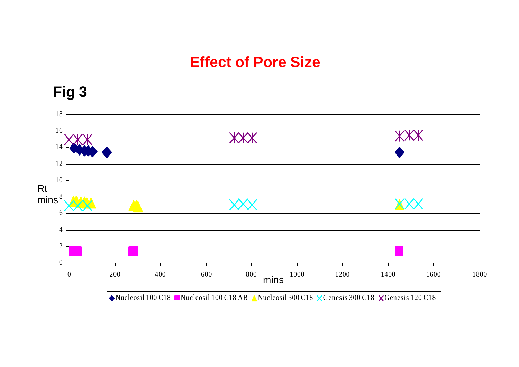# **Effect of Pore Size**



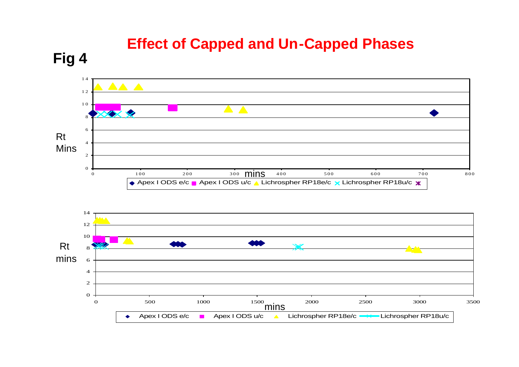# **Effect of Capped and Un-Capped Phases**

**Fig 4**



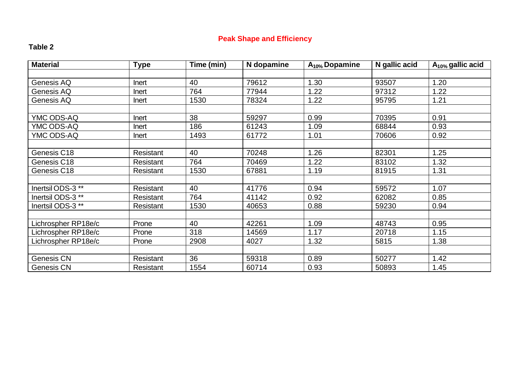### **Peak Shape and Efficiency**

### **Table 2**

| <b>Material</b>              | <b>Type</b> | Time (min) | N dopamine | $A_{10\%}$ Dopamine | N gallic acid | $A_{10\%}$ gallic acid |
|------------------------------|-------------|------------|------------|---------------------|---------------|------------------------|
|                              |             |            |            |                     |               |                        |
| Genesis AQ                   | Inert       | 40         | 79612      | 1.30                | 93507         | 1.20                   |
| Genesis AQ                   | Inert       | 764        | 77944      | 1.22                | 97312         | 1.22                   |
| Genesis AQ                   | Inert       | 1530       | 78324      | 1.22                | 95795         | 1.21                   |
|                              |             |            |            |                     |               |                        |
| YMC ODS-AQ                   | Inert       | 38         | 59297      | 0.99                | 70395         | 0.91                   |
| YMC ODS-AQ                   | Inert       | 186        | 61243      | 1.09                | 68844         | 0.93                   |
| YMC ODS-AQ                   | Inert       | 1493       | 61772      | 1.01                | 70606         | 0.92                   |
|                              |             |            |            |                     |               |                        |
| Genesis C18                  | Resistant   | 40         | 70248      | 1.26                | 82301         | 1.25                   |
| Genesis C18                  | Resistant   | 764        | 70469      | 1.22                | 83102         | 1.32                   |
| Genesis C18                  | Resistant   | 1530       | 67881      | 1.19                | 81915         | 1.31                   |
|                              |             |            |            |                     |               |                        |
| Inertsil ODS-3 <sup>**</sup> | Resistant   | 40         | 41776      | 0.94                | 59572         | 1.07                   |
| Inertsil ODS-3 <sup>**</sup> | Resistant   | 764        | 41142      | 0.92                | 62082         | 0.85                   |
| Inertsil ODS-3 <sup>**</sup> | Resistant   | 1530       | 40653      | 0.88                | 59230         | 0.94                   |
|                              |             |            |            |                     |               |                        |
| Lichrospher RP18e/c          | Prone       | 40         | 42261      | 1.09                | 48743         | 0.95                   |
| Lichrospher RP18e/c          | Prone       | 318        | 14569      | 1.17                | 20718         | 1.15                   |
| Lichrospher RP18e/c          | Prone       | 2908       | 4027       | 1.32                | 5815          | 1.38                   |
|                              |             |            |            |                     |               |                        |
| Genesis CN                   | Resistant   | 36         | 59318      | 0.89                | 50277         | 1.42                   |
| <b>Genesis CN</b>            | Resistant   | 1554       | 60714      | 0.93                | 50893         | 1.45                   |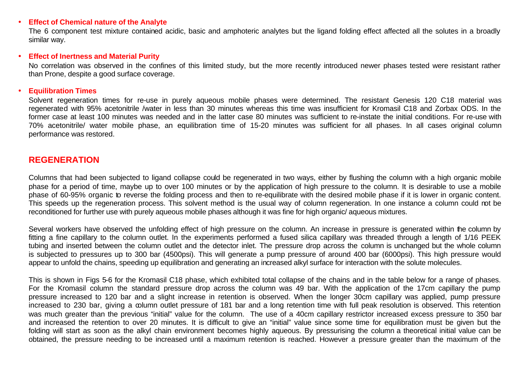#### • **Effect of Chemical nature of the Analyte**

The 6 component test mixture contained acidic, basic and amphoteric analytes but the ligand folding effect affected all the solutes in a broadly similar way.

#### • **Effect of Inertness and Material Purity**

No correlation was observed in the confines of this limited study, but the more recently introduced newer phases tested were resistant rather than Prone, despite a good surface coverage.

#### • **Equilibration Times**

Solvent regeneration times for re-use in purely aqueous mobile phases were determined. The resistant Genesis 120 C18 material was regenerated with 95% acetonitrile /water in less than 30 minutes whereas this time was insufficient for Kromasil C18 and Zorbax ODS. In the former case at least 100 minutes was needed and in the latter case 80 minutes was sufficient to re-instate the initial conditions. For re-use with 70% acetonitrile/ water mobile phase, an equilibration time of 15-20 minutes was sufficient for all phases. In all cases original column performance was restored.

### **REGENERATION**

Columns that had been subjected to ligand collapse could be regenerated in two ways, either by flushing the column with a high organic mobile phase for a period of time, maybe up to over 100 minutes or by the application of high pressure to the column. It is desirable to use a mobile phase of 60-95% organic to reverse the folding process and then to re-equilibrate with the desired mobile phase if it is lower in organic content. This speeds up the regeneration process. This solvent method is the usual way of column regeneration. In one instance a column could not be reconditioned for further use with purely aqueous mobile phases although it was fine for high organic/ aqueous mixtures.

Several workers have observed the unfolding effect of high pressure on the column. An increase in pressure is generated within the column by fitting a fine capillary to the column outlet. In the experiments performed a fused silica capillary was threaded through a length of 1/16 PEEK tubing and inserted between the column outlet and the detector inlet. The pressure drop across the column is unchanged but the whole column is subjected to pressures up to 300 bar (4500psi). This will generate a pump pressure of around 400 bar (6000psi). This high pressure would appear to unfold the chains, speeding up equilibration and generating an increased alkyl surface for interaction with the solute molecules.

This is shown in Figs 5-6 for the Kromasil C18 phase, which exhibited total collapse of the chains and in the table below for a range of phases. For the Kromasil column the standard pressure drop across the column was 49 bar. With the application of the 17cm capillary the pump pressure increased to 120 bar and a slight increase in retention is observed. When the longer 30cm capillary was applied, pump pressure increased to 230 bar, giving a column outlet pressure of 181 bar and a long retention time with full peak resolution is observed. This retention was much greater than the previous "initial" value for the column. The use of a 40cm capillary restrictor increased excess pressure to 350 bar and increased the retention to over 20 minutes. It is difficult to give an "initial" value since some time for equilibration must be given but the folding will start as soon as the alkyl chain environment becomes highly aqueous. By pressurising the column a theoretical initial value can be obtained, the pressure needing to be increased until a maximum retention is reached. However a pressure greater than the maximum of the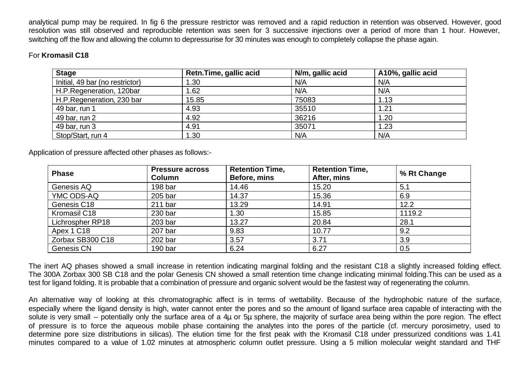analytical pump may be required. In fig 6 the pressure restrictor was removed and a rapid reduction in retention was observed. However, good resolution was still observed and reproducible retention was seen for 3 successive injections over a period of more than 1 hour. However, switching off the flow and allowing the column to depressurise for 30 minutes was enough to completely collapse the phase again.

### For **Kromasil C18**

| <b>Stage</b>                    | Retn.Time, gallic acid | N/m, gallic acid | A10%, gallic acid |
|---------------------------------|------------------------|------------------|-------------------|
| Initial, 49 bar (no restrictor) | 1.30                   | N/A              | N/A               |
| H.P.Regeneration, 120bar        | l.62                   | N/A              | N/A               |
| H.P.Regeneration, 230 bar       | 15.85                  | 75083            | 1.13              |
| 49 bar, run 1                   | 4.93                   | 35510            | 1.21              |
| 49 bar, run 2                   | 4.92                   | 36216            | 1.20              |
| 49 bar, run 3                   | 4.91                   | 35071            | 1.23              |
| Stop/Start, run 4               | 1.30                   | N/A              | N/A               |

Application of pressure affected other phases as follows:-

| <b>Phase</b>      | <b>Pressure across</b><br><b>Column</b> | <b>Retention Time,</b><br>Before, mins | <b>Retention Time,</b><br>After, mins | % Rt Change |
|-------------------|-----------------------------------------|----------------------------------------|---------------------------------------|-------------|
| Genesis AQ        | 198 bar                                 | 14.46                                  | 15.20                                 | 5.1         |
| YMC ODS-AQ        | 205 bar                                 | 14.37                                  | 15.36                                 | 6.9         |
| Genesis C18       | $211$ bar                               | 13.29                                  | 14.91                                 | 12.2        |
| Kromasil C18      | 230 bar                                 | 1.30                                   | 15.85                                 | 1119.2      |
| Lichrospher RP18  | 203 <sub>bar</sub>                      | 13.27                                  | 20.84                                 | 28.1        |
| Apex 1 C18        | 207 bar                                 | 9.83                                   | 10.77                                 | 9.2         |
| Zorbax SB300 C18  | 202 bar                                 | 3.57                                   | 3.71                                  | 3.9         |
| <b>Genesis CN</b> | 190 <sub>bar</sub>                      | 6.24                                   | 6.27                                  | 0.5         |

The inert AQ phases showed a small increase in retention indicating marginal folding and the resistant C18 a slightly increased folding effect. The 300A Zorbax 300 SB C18 and the polar Genesis CN showed a small retention time change indicating minimal folding.This can be used as a test for ligand folding. It is probable that a combination of pressure and organic solvent would be the fastest way of regenerating the column.

An alternative way of looking at this chromatographic affect is in terms of wettability. Because of the hydrophobic nature of the surface, especially where the ligand density is high, water cannot enter the pores and so the amount of ligand surface area capable of interacting with the solute is very small – potentially only the surface area of a 4μ or 5μ sphere, the majority of surface area being within the pore region. The effect of pressure is to force the aqueous mobile phase containing the analytes into the pores of the particle (cf. mercury porosimetry, used to determine pore size distributions in silicas). The elution time for the first peak with the Kromasil C18 under pressurized conditions was 1.41 minutes compared to a value of 1.02 minutes at atmospheric column outlet pressure. Using a 5 million molecular weight standard and THF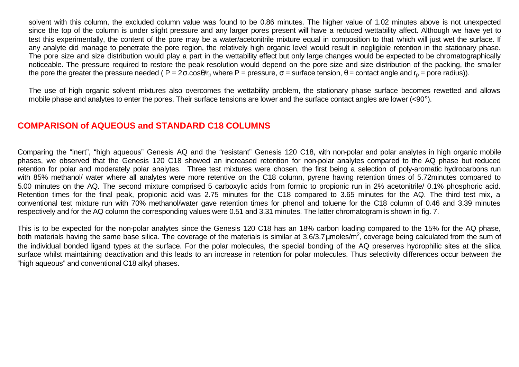solvent with this column, the excluded column value was found to be 0.86 minutes. The higher value of 1.02 minutes above is not unexpected since the top of the column is under slight pressure and any larger pores present will have a reduced wettability affect. Although we have yet to test this experimentally, the content of the pore may be a water/acetonitrile mixture equal in composition to that which will just wet the surface. If any analyte did manage to penetrate the pore region, the relatively high organic level would result in negligible retention in the stationary phase. The pore size and size distribution would play a part in the wettability effect but only large changes would be expected to be chromatographically noticeable. The pressure required to restore the peak resolution would depend on the pore size and size distribution of the packing, the smaller the pore the greater the pressure needed ( $P = 2\sigma \cdot cos\theta/r_0$  where  $P =$  pressure,  $σ =$  surface tension,  $θ =$  contact angle and  $r_0 =$  pore radius)).

The use of high organic solvent mixtures also overcomes the wettability problem, the stationary phase surface becomes rewetted and allows mobile phase and analytes to enter the pores. Their surface tensions are lower and the surface contact angles are lower (<90°).

### **COMPARISON of AQUEOUS and STANDARD C18 COLUMNS**

Comparing the "inert", "high aqueous" Genesis AQ and the "resistant" Genesis 120 C18, with non-polar and polar analytes in high organic mobile phases, we observed that the Genesis 120 C18 showed an increased retention for non-polar analytes compared to the AQ phase but reduced retention for polar and moderately polar analytes. Three test mixtures were chosen, the first being a selection of poly-aromatic hydrocarbons run with 85% methanol/ water where all analytes were more retentive on the C18 column, pyrene having retention times of 5.72minutes compared to 5.00 minutes on the AQ. The second mixture comprised 5 carboxylic acids from formic to propionic run in 2% acetonitrile/ 0.1% phosphoric acid. Retention times for the final peak, propionic acid was 2.75 minutes for the C18 compared to 3.65 minutes for the AQ. The third test mix, a conventional test mixture run with 70% methanol/water gave retention times for phenol and toluene for the C18 column of 0.46 and 3.39 minutes respectively and for the AQ column the corresponding values were 0.51 and 3.31 minutes. The latter chromatogram is shown in fig. 7.

This is to be expected for the non-polar analytes since the Genesis 120 C18 has an 18% carbon loading compared to the 15% for the AQ phase, both materials having the same base silica. The coverage of the materials is similar at 3.6/3.7µmoles/m<sup>2</sup>, coverage being calculated from the sum of the individual bonded ligand types at the surface. For the polar molecules, the special bonding of the AQ preserves hydrophilic sites at the silica surface whilst maintaining deactivation and this leads to an increase in retention for polar molecules. Thus selectivity differences occur between the "high aqueous" and conventional C18 alkyl phases.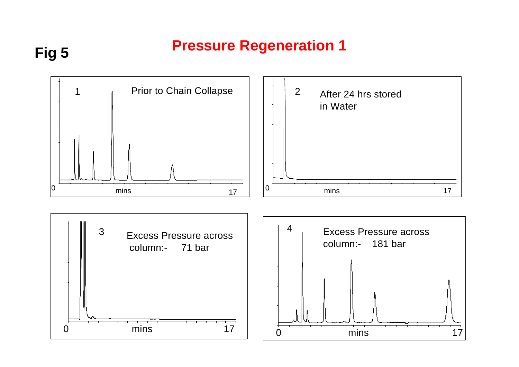# **Pressure Regeneration 1**

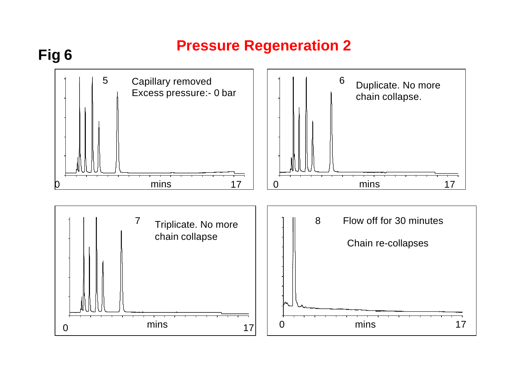# **Pressure Regeneration 2**

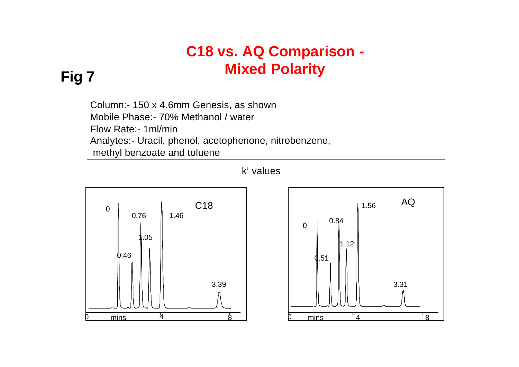# **C18 vs. AQ Comparison - Mixed Polarity**

# **Fig 7**

Column:- 150 x 4.6mm Genesis, as shown Mobile Phase:- 70% Methanol / water Flow Rate:- 1ml/min Analytes:- Uracil, phenol, acetophenone, nitrobenzene, methyl benzoate and toluene





# k' values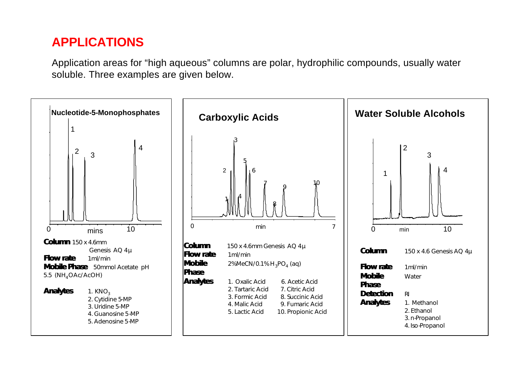# **APPLICATIONS**

Application areas for "high aqueous" columns are polar, hydrophilic compounds, usually water soluble. Three examples are given below.